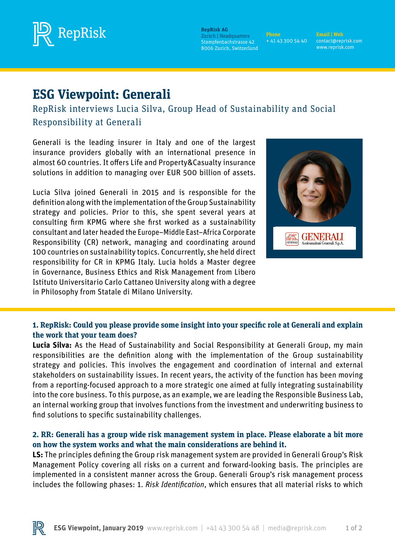

**RepRisk AG** Zurich | Headquarters Stampfenbachstrasse 42 8006 Zurich, Switzerland

**Phone** + 41 43 300 54 40

contact@reprisk.com www.reprisk.com

# **ESG Viewpoint: Generali**

RepRisk interviews Lucia Silva, Group Head of Sustainability and Social Responsibility at Generali

Generali is the leading insurer in Italy and one of the largest insurance providers globally with an international presence in almost 60 countries. It offers Life and Property&Casualty insurance solutions in addition to managing over EUR 500 billion of assets.

Lucia Silva joined Generali in 2015 and is responsible for the definition along with the implementation of the Group Sustainability strategy and policies. Prior to this, she spent several years at consulting firm KPMG where she first worked as a sustainability consultant and later headed the Europe–Middle East–Africa Corporate Responsibility (CR) network, managing and coordinating around 100 countries on sustainability topics. Concurrently, she held direct responsibility for CR in KPMG Italy. Lucia holds a Master degree in Governance, Business Ethics and Risk Management from Libero Istituto Universitario Carlo Cattaneo University along with a degree in Philosophy from Statale di Milano University.



# **1. RepRisk: Could you please provide some insight into your specific role at Generali and explain the work that your team does?**

**Lucia Silva:** As the Head of Sustainability and Social Responsibility at Generali Group, my main responsibilities are the definition along with the implementation of the Group sustainability strategy and policies. This involves the engagement and coordination of internal and external stakeholders on sustainability issues. In recent years, the activity of the function has been moving from a reporting-focused approach to a more strategic one aimed at fully integrating sustainability into the core business. To this purpose, as an example, we are leading the Responsible Business Lab, an internal working group that involves functions from the investment and underwriting business to find solutions to specific sustainability challenges.

# **2. RR: Generali has a group wide risk management system in place. Please elaborate a bit more on how the system works and what the main considerations are behind it.**

**LS:** The principles defining the Group risk management system are provided in Generali Group's Risk Management Policy covering all risks on a current and forward-looking basis. The principles are implemented in a consistent manner across the Group. Generali Group's risk management process includes the following phases: 1. *Risk Identification*, which ensures that all material risks to which